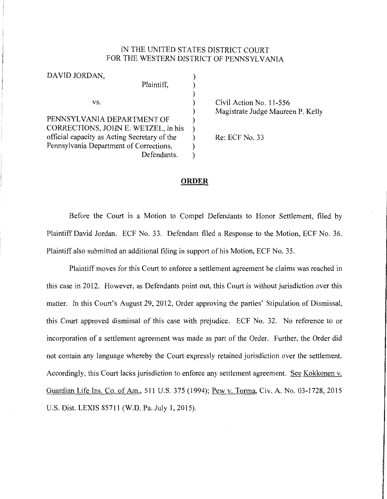## IN THE UNITED STATES DISTRICT COURT FOR THE WESTERN DISTRICT OF PENNSYLVANIA

| DAVID JORDAN,                                |  |
|----------------------------------------------|--|
| Plaintiff,                                   |  |
|                                              |  |
| VS.                                          |  |
|                                              |  |
| PENNSYLVANIA DEPARTMENT OF                   |  |
| CORRECTIONS, JOHN E. WETZEL, in his          |  |
| official capacity as Acting Secretary of the |  |
| Pennsylvania Department of Corrections,      |  |
| Defendants.                                  |  |
|                                              |  |

Civil Action No. 11-556 Magistrate Judge Maureen P. Kelly

Re: ECF No. 33

## **ORDER**

Before the Court is a Motion to Compel Defendants to Honor Settlement, filed by Plaintiff David Jordan. ECF No. 33. Defendant filed a Response to the Motion, ECF No. 36. Plaintiff also submitted an additional filing in support of his Motion, ECF No. 35.

Plaintiff moves for this Court to enforce a settlement agreement he claims was reached in this case in 2012. However, as Defendants point out, this Court is without jurisdiction over this matter. In this Court's August 29, 2012, Order approving the parties' Stipulation of Dismissal, this Court approved dismissal of this case with prejudice. ECF No. 32. No reference to or incorporation of a settlement agreement was made as part of the Order. Further, the Order did not contain any language whereby the Court expressly retained jurisdiction over the settlement. Accordingly, this Court lacks jurisdiction to enforce any settlement agreement. See Kokkonen v. Guardian Life Ins. Co. of Am., 511 U.S. 375 (1994); Pew v. Torma, Civ. A. No. 03-1728, 2015 U.S. Dist. LEXIS 85711 (W.D. Pa. July 1, 2015).